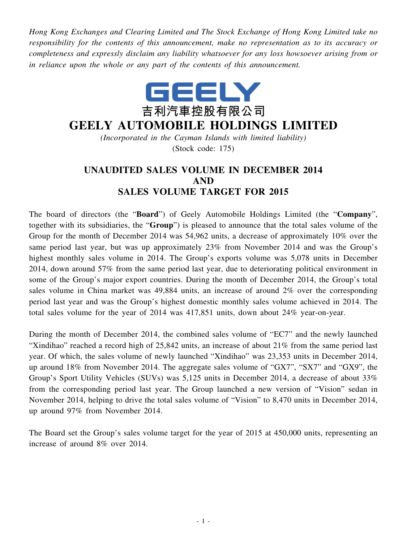*Hong Kong Exchanges and Clearing Limited and The Stock Exchange of Hong Kong Limited take no responsibility for the contents of this announcement, make no representation as to its accuracy or completeness and expressly disclaim any liability whatsoever for any loss howsoever arising from or in reliance upon the whole or any part of the contents of this announcement.*



## **GEELY AUTOMOBILE HOLDINGS LIMITED**

*(Incorporated in the Cayman Islands with limited liability)* (Stock code: 175)

## **UNAUDITED SALES VOLUME IN DECEMBER 2014 AND SALES VOLUME TARGET FOR 2015**

The board of directors (the "**Board**") of Geely Automobile Holdings Limited (the "**Company**", together with its subsidiaries, the "**Group**") is pleased to announce that the total sales volume of the Group for the month of December 2014 was 54,962 units, a decrease of approximately 10% over the same period last year, but was up approximately 23% from November 2014 and was the Group's highest monthly sales volume in 2014. The Group's exports volume was 5,078 units in December 2014, down around 57% from the same period last year, due to deteriorating political environment in some of the Group's major export countries. During the month of December 2014, the Group's total sales volume in China market was 49,884 units, an increase of around 2% over the corresponding period last year and was the Group's highest domestic monthly sales volume achieved in 2014. The total sales volume for the year of 2014 was 417,851 units, down about 24% year-on-year.

During the month of December 2014, the combined sales volume of "EC7" and the newly launched "Xindihao" reached a record high of 25,842 units, an increase of about 21% from the same period last year. Of which, the sales volume of newly launched "Xindihao" was 23,353 units in December 2014, up around 18% from November 2014. The aggregate sales volume of "GX7", "SX7" and "GX9", the Group's Sport Utility Vehicles (SUVs) was 5,125 units in December 2014, a decrease of about 33% from the corresponding period last year. The Group launched a new version of "Vision" sedan in November 2014, helping to drive the total sales volume of "Vision" to 8,470 units in December 2014, up around 97% from November 2014.

The Board set the Group's sales volume target for the year of 2015 at 450,000 units, representing an increase of around 8% over 2014.